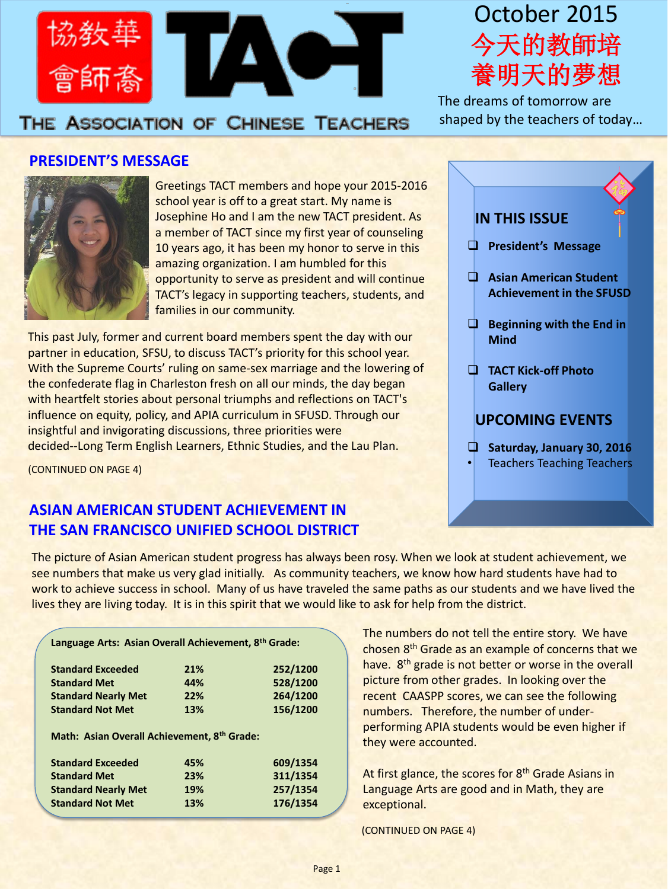

# October 2015 今天的教師培 養明天的夢想

 The dreams of tomorrow are shaped by the teachers of today…

# THE ASSOCIATION OF CHINESE TEACHERS

### **PRESIDENT'S MESSAGE**



Greetings TACT members and hope your 2015-2016 school year is off to a great start. My name is Josephine Ho and I am the new TACT president. As a member of TACT since my first year of counseling 10 years ago, it has been my honor to serve in this amazing organization. I am humbled for this opportunity to serve as president and will continue TACT's legacy in supporting teachers, students, and families in our community.

This past July, former and current board members spent the day with our partner in education, SFSU, to discuss TACT's priority for this school year. With the Supreme Courts' ruling on same-sex marriage and the lowering of the confederate flag in Charleston fresh on all our minds, the day began with heartfelt stories about personal triumphs and reflections on TACT's influence on equity, policy, and APIA curriculum in SFUSD. Through our insightful and invigorating discussions, three priorities were decided--Long Term English Learners, Ethnic Studies, and the Lau Plan.

(CONTINUED ON PAGE 4)

# **ASIAN AMERICAN STUDENT ACHIEVEMENT IN THE SAN FRANCISCO UNIFIED SCHOOL DISTRICT**

The picture of Asian American student progress has always been rosy. When we look at student achievement, we see numbers that make us very glad initially. As community teachers, we know how hard students have had to work to achieve success in school. Many of us have traveled the same paths as our students and we have lived the lives they are living today. It is in this spirit that we would like to ask for help from the district.

| Language Arts: Asian Overall Achievement, 8th Grade: |  |  |  |  |  |  |
|------------------------------------------------------|--|--|--|--|--|--|
|------------------------------------------------------|--|--|--|--|--|--|

| <b>Standard Exceeded</b>   | <b>21%</b> | 252/1200 |
|----------------------------|------------|----------|
| <b>Standard Met</b>        | 44%        | 528/1200 |
| <b>Standard Nearly Met</b> | <b>22%</b> | 264/1200 |
| <b>Standard Not Met</b>    | 13%        | 156/1200 |

**Math: Asian Overall Achievement, 8th Grade:**

| <b>Standard Exceeded</b>   | 45% | 609/1354 |
|----------------------------|-----|----------|
| <b>Standard Met</b>        | 23% | 311/1354 |
| <b>Standard Nearly Met</b> | 19% | 257/1354 |
| <b>Standard Not Met</b>    | 13% | 176/1354 |
|                            |     |          |



The numbers do not tell the entire story. We have chosen 8th Grade as an example of concerns that we have. 8<sup>th</sup> grade is not better or worse in the overall picture from other grades. In looking over the recent CAASPP scores, we can see the following numbers. Therefore, the number of underperforming APIA students would be even higher if they were accounted.

At first glance, the scores for 8<sup>th</sup> Grade Asians in Language Arts are good and in Math, they are exceptional.

(CONTINUED ON PAGE 4)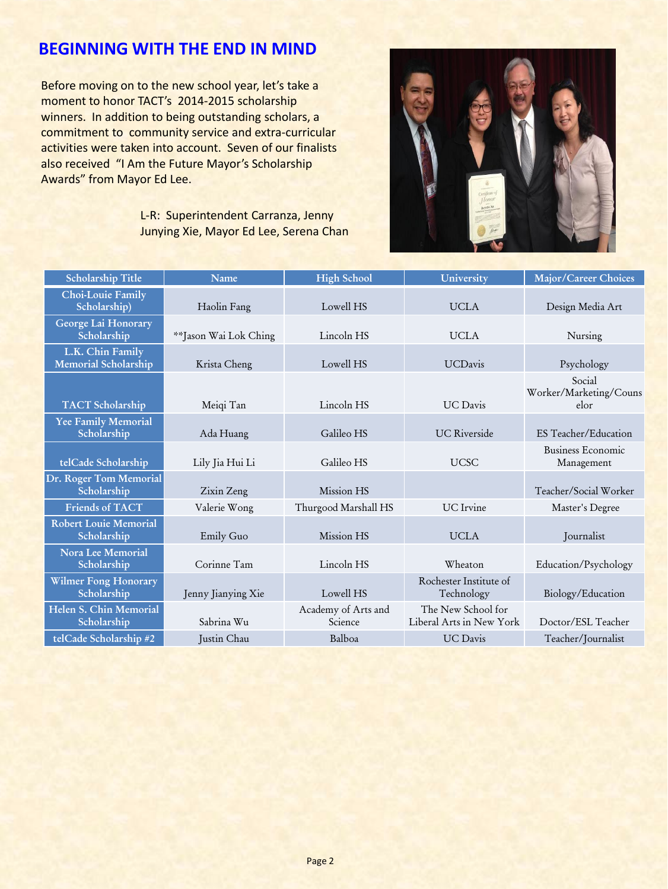# **BEGINNING WITH THE END IN MIND**

Before moving on to the new school year, let's take a moment to honor TACT's 2014-2015 scholarship winners. In addition to being outstanding scholars, a commitment to community service and extra-curricular activities were taken into account. Seven of our finalists also received "I Am the Future Mayor's Scholarship Awards" from Mayor Ed Lee.

> L-R: Superintendent Carranza, Jenny Junying Xie, Mayor Ed Lee, Serena Chan



| Scholarship Title                           | <b>Name</b>           | <b>High School</b>             | University                                     | Major/Career Choices                     |
|---------------------------------------------|-----------------------|--------------------------------|------------------------------------------------|------------------------------------------|
| Choi-Louie Family<br>Scholarship)           | Haolin Fang           | Lowell HS                      | <b>UCLA</b>                                    | Design Media Art                         |
| George Lai Honorary<br>Scholarship          | **Jason Wai Lok Ching | Lincoln HS                     | <b>UCLA</b>                                    | Nursing                                  |
| L.K. Chin Family<br>Memorial Scholarship    | Krista Cheng          | Lowell HS                      | <b>UCDavis</b>                                 | Psychology                               |
| <b>TACT</b> Scholarship                     | Meiqi Tan             | Lincoln HS                     | <b>UC</b> Davis                                | Social<br>Worker/Marketing/Couns<br>elor |
| Yee Family Memorial<br>Scholarship          | Ada Huang             | Galileo HS                     | <b>UC</b> Riverside                            | ES Teacher/Education                     |
| telCade Scholarship                         | Lily Jia Hui Li       | Galileo HS                     | <b>UCSC</b>                                    | <b>Business Economic</b><br>Management   |
| Dr. Roger Tom Memorial<br>Scholarship       | Zixin Zeng            | Mission HS                     |                                                | Teacher/Social Worker                    |
| <b>Friends of TACT</b>                      | Valerie Wong          | Thurgood Marshall HS           | <b>UC</b> Irvine                               | Master's Degree                          |
| <b>Robert Louie Memorial</b><br>Scholarship | Emily Guo             | Mission HS                     | <b>UCLA</b>                                    | Journalist                               |
| Nora Lee Memorial<br>Scholarship            | Corinne Tam           | Lincoln HS                     | Wheaton                                        | Education/Psychology                     |
| Wilmer Fong Honorary<br>Scholarship         | Jenny Jianying Xie    | Lowell HS                      | Rochester Institute of<br>Technology           | Biology/Education                        |
| Helen S. Chin Memorial<br>Scholarship       | Sabrina Wu            | Academy of Arts and<br>Science | The New School for<br>Liberal Arts in New York | Doctor/ESL Teacher                       |
| telCade Scholarship #2                      | Justin Chau           | Balboa                         | <b>UC</b> Davis                                | Teacher/Journalist                       |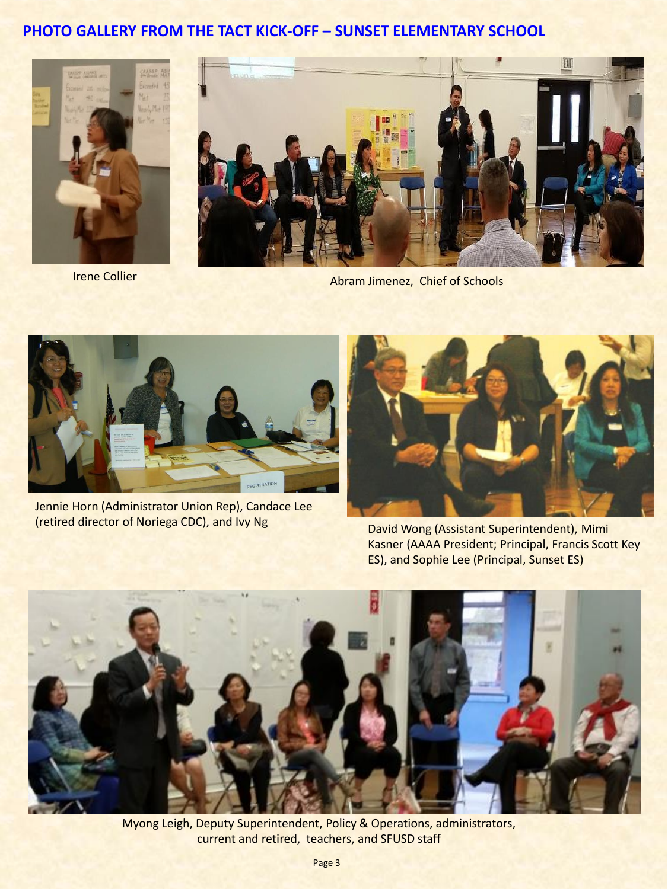### **PHOTO GALLERY FROM THE TACT KICK-OFF – SUNSET ELEMENTARY SCHOOL**







Abram Jimenez, Chief of Schools



Jennie Horn (Administrator Union Rep), Candace Lee (retired director of Noriega CDC), and Ivy Ng



David Wong (Assistant Superintendent), Mimi Kasner (AAAA President; Principal, Francis Scott Key ES), and Sophie Lee (Principal, Sunset ES)



Myong Leigh, Deputy Superintendent, Policy & Operations, administrators, current and retired, teachers, and SFUSD staff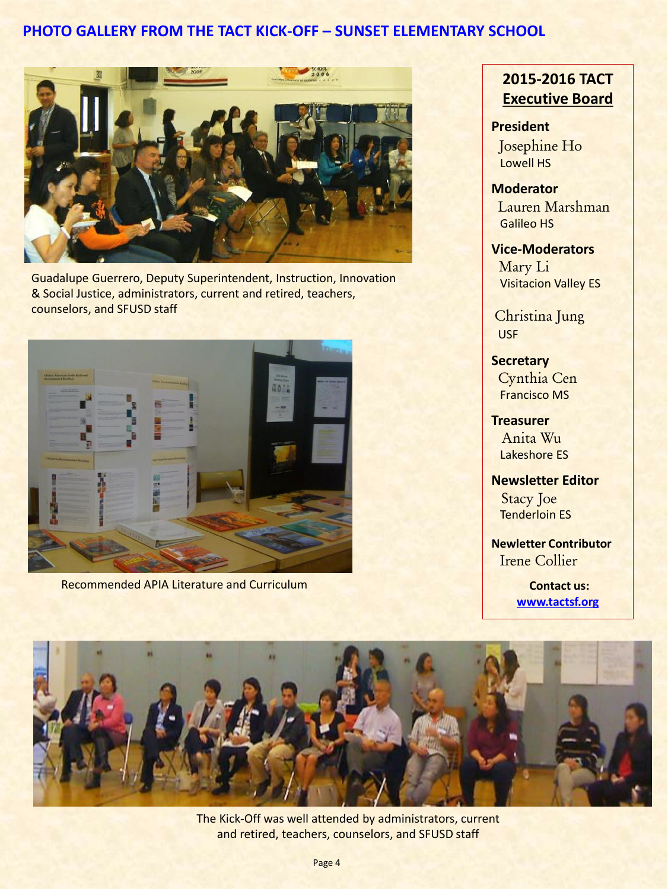# **PHOTO GALLERY FROM THE TACT KICK-OFF – SUNSET ELEMENTARY SCHOOL**



Guadalupe Guerrero, Deputy Superintendent, Instruction, Innovation & Social Justice, administrators, current and retired, teachers, counselors, and SFUSD staff



Recommended APIA Literature and Curriculum

# **2015-2016 TACT Executive Board**

#### **President**

Josephine Ho Lowell HS

**Moderator** Lauren Marshman Galileo HS

### **Vice-Moderators**

 Mary Li Visitacion Valley ES

Christina Jung USF

**Secretary** Cynthia Cen Francisco MS

### **Treasurer** Anita Wu

Lakeshore ES

**Newsletter Editor** Stacy Joe Tenderloin ES

**Newletter Contributor Irene Collier** 

> **Contact us: [www.tactsf.org](http://www.tactsf.org/)**



The Kick-Off was well attended by administrators, current and retired, teachers, counselors, and SFUSD staff